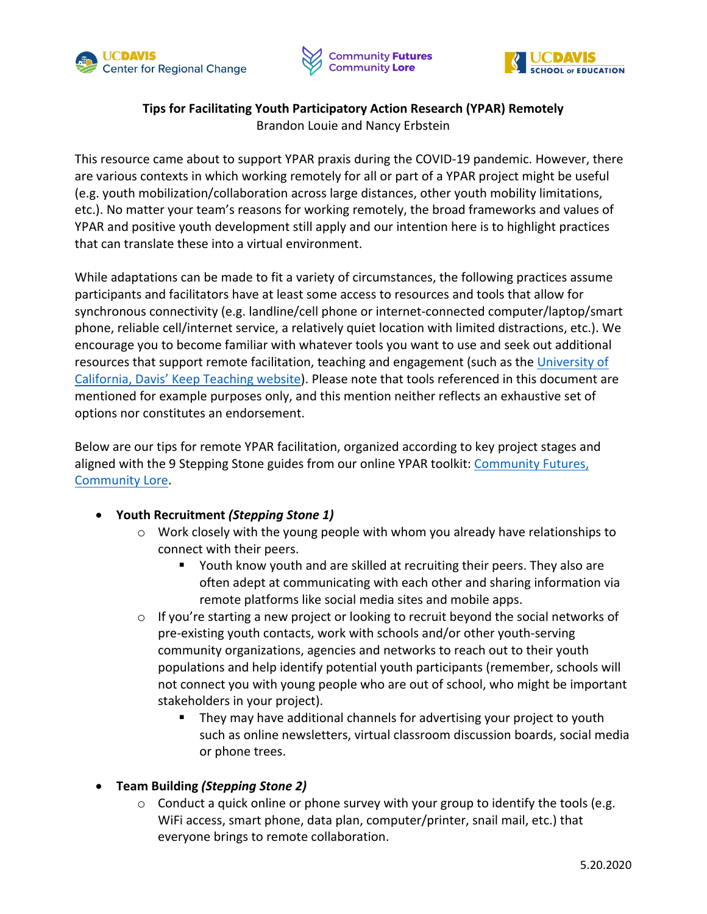





## **Tips for Facilitating Youth Participatory Action Research (YPAR) Remotely** Brandon Louie and Nancy Erbstein

This resource came about to support YPAR praxis during the COVID-19 pandemic. However, there are various contexts in which working remotely for all or part of a YPAR project might be useful (e.g. youth mobilization/collaboration across large distances, other youth mobility limitations, etc.). No matter your team's reasons for working remotely, the broad frameworks and values of YPAR and positive youth development still apply and our intention here is to highlight practices that can translate these into a virtual environment.

While adaptations can be made to fit a variety of circumstances, the following practices assume participants and facilitators have at least some access to resources and tools that allow for synchronous connectivity (e.g. landline/cell phone or internet-connected computer/laptop/smart phone, reliable cell/internet service, a relatively quiet location with limited distractions, etc.). We encourage you to become familiar with whatever tools you want to use and seek out additional resources that support remote facilitation, teaching and engagement (such as th[e University of](https://keepteaching.ucdavis.edu/)  [California, Davis' Keep Teaching website\)](https://keepteaching.ucdavis.edu/). Please note that tools referenced in this document are mentioned for example purposes only, and this mention neither reflects an exhaustive set of options nor constitutes an endorsement.

Below are our tips for remote YPAR facilitation, organized according to key project stages and aligned with the 9 Stepping Stone guides from our online YPAR toolkit: [Community Futures,](https://ypar.cfcl.ucdavis.edu)  [Community Lore.](https://ypar.cfcl.ucdavis.edu/index.html)

- **Youth Recruitment** *(Stepping Stone 1)*
	- o Work closely with the young people with whom you already have relationships to connect with their peers.
		- § Youth know youth and are skilled at recruiting their peers. They also are often adept at communicating with each other and sharing information via remote platforms like social media sites and mobile apps.
	- $\circ$  If you're starting a new project or looking to recruit beyond the social networks of pre-existing youth contacts, work with schools and/or other youth-serving community organizations, agencies and networks to reach out to their youth populations and help identify potential youth participants (remember, schools will not connect you with young people who are out of school, who might be important stakeholders in your project).
		- They may have additional channels for advertising your project to youth such as online newsletters, virtual classroom discussion boards, social media or phone trees.
- **Team Building** *(Stepping Stone 2)*
	- $\circ$  Conduct a quick online or phone survey with your group to identify the tools (e.g. WiFi access, smart phone, data plan, computer/printer, snail mail, etc.) that everyone brings to remote collaboration.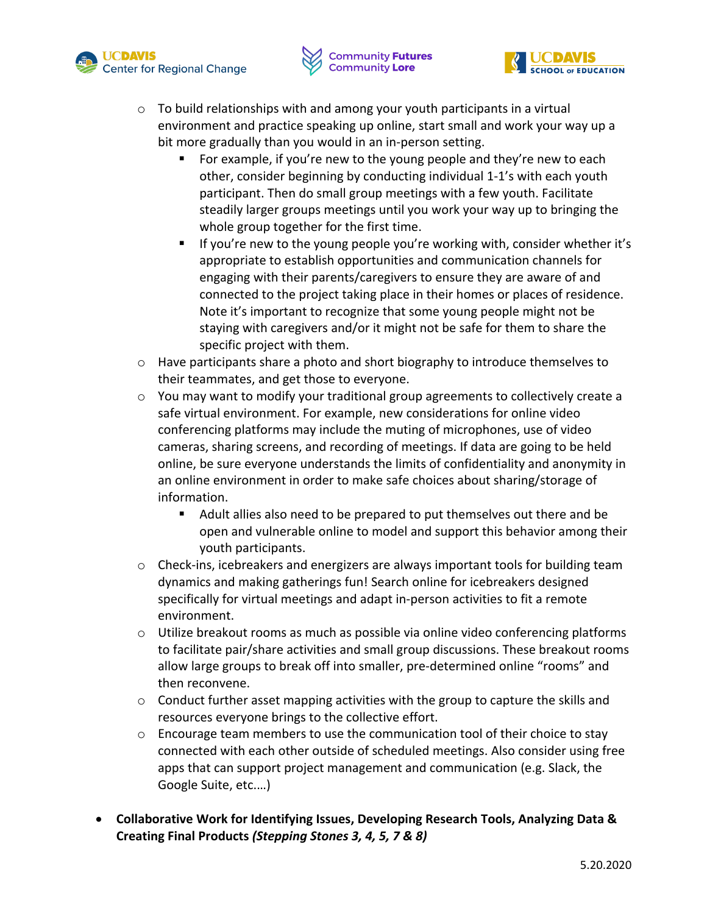





- $\circ$  To build relationships with and among your youth participants in a virtual environment and practice speaking up online, start small and work your way up a bit more gradually than you would in an in-person setting.
	- For example, if you're new to the young people and they're new to each other, consider beginning by conducting individual 1-1's with each youth participant. Then do small group meetings with a few youth. Facilitate steadily larger groups meetings until you work your way up to bringing the whole group together for the first time.
	- If you're new to the young people you're working with, consider whether it's appropriate to establish opportunities and communication channels for engaging with their parents/caregivers to ensure they are aware of and connected to the project taking place in their homes or places of residence. Note it's important to recognize that some young people might not be staying with caregivers and/or it might not be safe for them to share the specific project with them.
- $\circ$  Have participants share a photo and short biography to introduce themselves to their teammates, and get those to everyone.
- $\circ$  You may want to modify your traditional group agreements to collectively create a safe virtual environment. For example, new considerations for online video conferencing platforms may include the muting of microphones, use of video cameras, sharing screens, and recording of meetings. If data are going to be held online, be sure everyone understands the limits of confidentiality and anonymity in an online environment in order to make safe choices about sharing/storage of information.
	- Adult allies also need to be prepared to put themselves out there and be open and vulnerable online to model and support this behavior among their youth participants.
- o Check-ins, icebreakers and energizers are always important tools for building team dynamics and making gatherings fun! Search online for icebreakers designed specifically for virtual meetings and adapt in-person activities to fit a remote environment.
- $\circ$  Utilize breakout rooms as much as possible via online video conferencing platforms to facilitate pair/share activities and small group discussions. These breakout rooms allow large groups to break off into smaller, pre-determined online "rooms" and then reconvene.
- $\circ$  Conduct further asset mapping activities with the group to capture the skills and resources everyone brings to the collective effort.
- $\circ$  Encourage team members to use the communication tool of their choice to stay connected with each other outside of scheduled meetings. Also consider using free apps that can support project management and communication (e.g. Slack, the Google Suite, etc.…)
- **Collaborative Work for Identifying Issues, Developing Research Tools, Analyzing Data & Creating Final Products** *(Stepping Stones 3, 4, 5, 7 & 8)*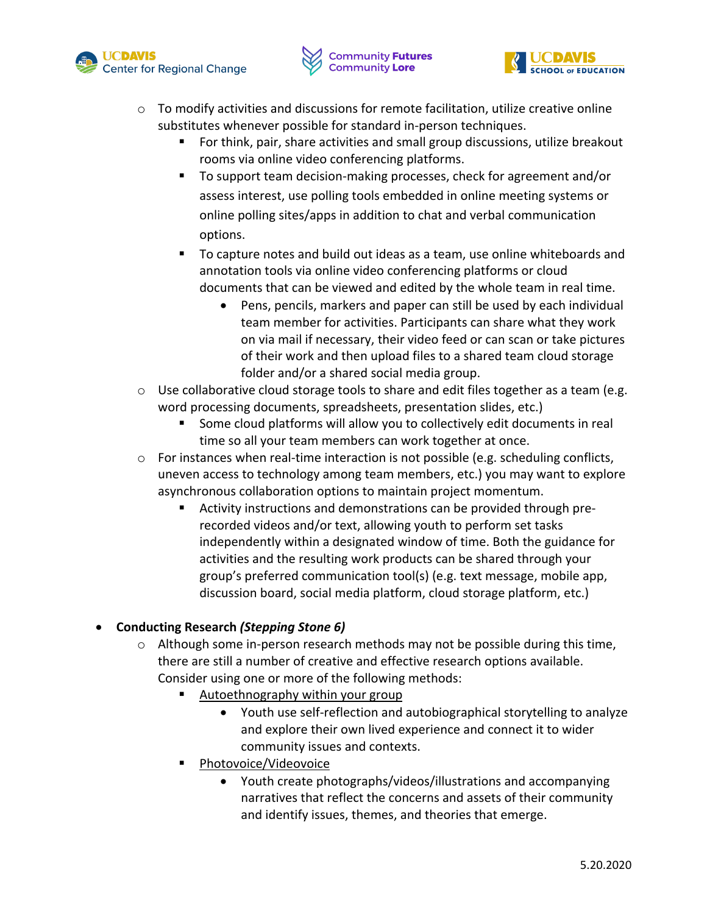





- $\circ$  To modify activities and discussions for remote facilitation, utilize creative online substitutes whenever possible for standard in-person techniques.
	- For think, pair, share activities and small group discussions, utilize breakout rooms via online video conferencing platforms.
	- To support team decision-making processes, check for agreement and/or assess interest, use polling tools embedded in online meeting systems or online polling sites/apps in addition to chat and verbal communication options.
	- § To capture notes and build out ideas as a team, use online whiteboards and annotation tools via online video conferencing platforms or cloud documents that can be viewed and edited by the whole team in real time.
		- Pens, pencils, markers and paper can still be used by each individual team member for activities. Participants can share what they work on via mail if necessary, their video feed or can scan or take pictures of their work and then upload files to a shared team cloud storage folder and/or a shared social media group.
- $\circ$  Use collaborative cloud storage tools to share and edit files together as a team (e.g. word processing documents, spreadsheets, presentation slides, etc.)
	- Some cloud platforms will allow you to collectively edit documents in real time so all your team members can work together at once.
- $\circ$  For instances when real-time interaction is not possible (e.g. scheduling conflicts, uneven access to technology among team members, etc.) you may want to explore asynchronous collaboration options to maintain project momentum.
	- § Activity instructions and demonstrations can be provided through prerecorded videos and/or text, allowing youth to perform set tasks independently within a designated window of time. Both the guidance for activities and the resulting work products can be shared through your group's preferred communication tool(s) (e.g. text message, mobile app, discussion board, social media platform, cloud storage platform, etc.)

## • **Conducting Research** *(Stepping Stone 6)*

- $\circ$  Although some in-person research methods may not be possible during this time, there are still a number of creative and effective research options available. Consider using one or more of the following methods:
	- Autoethnography within your group
		- Youth use self-reflection and autobiographical storytelling to analyze and explore their own lived experience and connect it to wider community issues and contexts.
	- § Photovoice/Videovoice
		- Youth create photographs/videos/illustrations and accompanying narratives that reflect the concerns and assets of their community and identify issues, themes, and theories that emerge.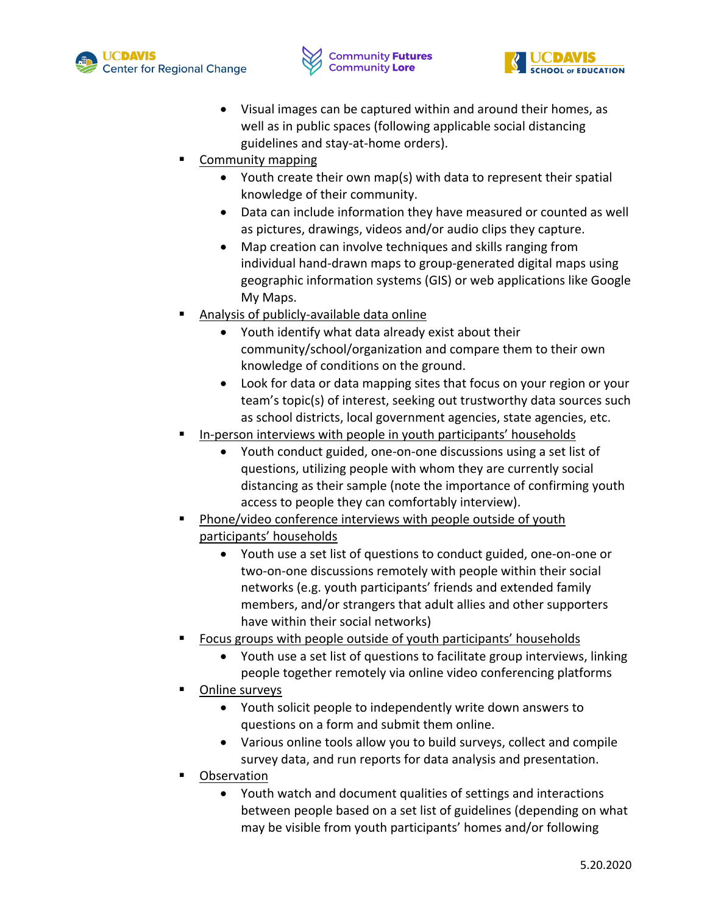





- Visual images can be captured within and around their homes, as well as in public spaces (following applicable social distancing guidelines and stay-at-home orders).
- § Community mapping
	- Youth create their own map(s) with data to represent their spatial knowledge of their community.
	- Data can include information they have measured or counted as well as pictures, drawings, videos and/or audio clips they capture.
	- Map creation can involve techniques and skills ranging from individual hand-drawn maps to group-generated digital maps using geographic information systems (GIS) or web applications like Google My Maps.
- § Analysis of publicly-available data online
	- Youth identify what data already exist about their community/school/organization and compare them to their own knowledge of conditions on the ground.
	- Look for data or data mapping sites that focus on your region or your team's topic(s) of interest, seeking out trustworthy data sources such as school districts, local government agencies, state agencies, etc.
- § In-person interviews with people in youth participants' households
	- Youth conduct guided, one-on-one discussions using a set list of questions, utilizing people with whom they are currently social distancing as their sample (note the importance of confirming youth access to people they can comfortably interview).
- § Phone/video conference interviews with people outside of youth participants' households
	- Youth use a set list of questions to conduct guided, one-on-one or two-on-one discussions remotely with people within their social networks (e.g. youth participants' friends and extended family members, and/or strangers that adult allies and other supporters have within their social networks)
- § Focus groups with people outside of youth participants' households
	- Youth use a set list of questions to facilitate group interviews, linking people together remotely via online video conferencing platforms
- § Online surveys
	- Youth solicit people to independently write down answers to questions on a form and submit them online.
	- Various online tools allow you to build surveys, collect and compile survey data, and run reports for data analysis and presentation.
- **Observation** 
	- Youth watch and document qualities of settings and interactions between people based on a set list of guidelines (depending on what may be visible from youth participants' homes and/or following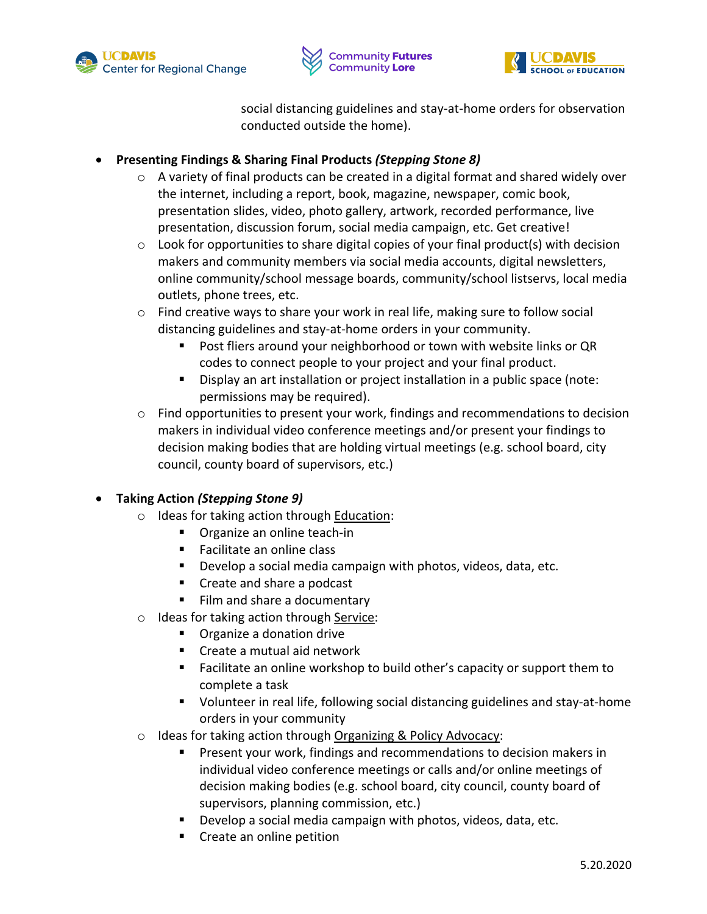





social distancing guidelines and stay-at-home orders for observation conducted outside the home).

## • **Presenting Findings & Sharing Final Products** *(Stepping Stone 8)*

- o A variety of final products can be created in a digital format and shared widely over the internet, including a report, book, magazine, newspaper, comic book, presentation slides, video, photo gallery, artwork, recorded performance, live presentation, discussion forum, social media campaign, etc. Get creative!
- $\circ$  Look for opportunities to share digital copies of your final product(s) with decision makers and community members via social media accounts, digital newsletters, online community/school message boards, community/school listservs, local media outlets, phone trees, etc.
- $\circ$  Find creative ways to share your work in real life, making sure to follow social distancing guidelines and stay-at-home orders in your community.
	- Post fliers around your neighborhood or town with website links or QR codes to connect people to your project and your final product.
	- Display an art installation or project installation in a public space (note: permissions may be required).
- $\circ$  Find opportunities to present your work, findings and recommendations to decision makers in individual video conference meetings and/or present your findings to decision making bodies that are holding virtual meetings (e.g. school board, city council, county board of supervisors, etc.)

## • **Taking Action** *(Stepping Stone 9)*

- o Ideas for taking action through Education:
	- Organize an online teach-in
	- Facilitate an online class
	- Develop a social media campaign with photos, videos, data, etc.
	- Create and share a podcast
	- Film and share a documentary
- o Ideas for taking action through Service:
	- Organize a donation drive
	- Create a mutual aid network
	- Facilitate an online workshop to build other's capacity or support them to complete a task
	- Volunteer in real life, following social distancing guidelines and stay-at-home orders in your community
- o Ideas for taking action through Organizing & Policy Advocacy:
	- § Present your work, findings and recommendations to decision makers in individual video conference meetings or calls and/or online meetings of decision making bodies (e.g. school board, city council, county board of supervisors, planning commission, etc.)
	- § Develop a social media campaign with photos, videos, data, etc.
	- Create an online petition